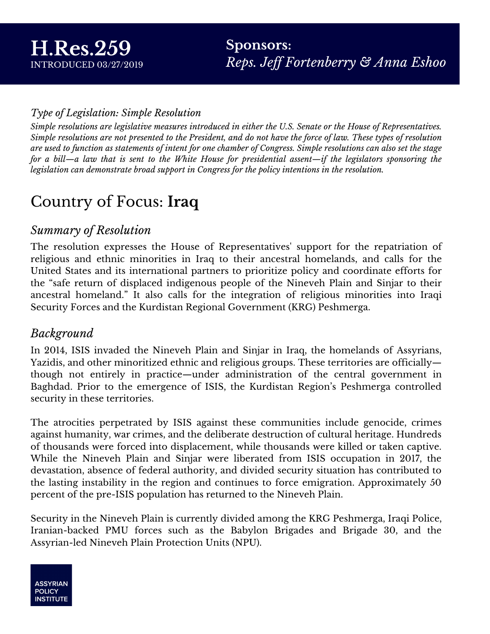#### *Type of Legislation: Simple Resolution*

Simple resolutions are legislative measures introduced in either the U.S. Senate or the House of Representatives. Simple resolutions are not presented to the President, and do not have the force of law. These types of resolution are used to function as statements of intent for one chamber of Congress. Simple resolutions can also set the stage for a bill—a law that is sent to the White House for presidential assent—if the legislators sponsoring the *legislation can demonstrate broad support in Congress for the policy intentions in the resolution.*

### Country of Focus: **Iraq**

#### *Summary of Resolution*

The resolution expresses the House of Representatives' support for the repatriation of religious and ethnic minorities in Iraq to their ancestral homelands, and calls for the United States and its international partners to prioritize policy and coordinate efforts for the "safe return of displaced indigenous people of the Nineveh Plain and Sinjar to their ancestral homeland." It also calls for the integration of religious minorities into Iraqi Security Forces and the Kurdistan Regional Government (KRG) Peshmerga.

#### *Background*

In 2014, ISIS invaded the Nineveh Plain and Sinjar in Iraq, the homelands of Assyrians, Yazidis, and other minoritized ethnic and religious groups. These territories are officially though not entirely in practice—under administration of the central government in Baghdad. Prior to the emergence of ISIS, the Kurdistan Region's Peshmerga controlled security in these territories.

The atrocities perpetrated by ISIS against these communities include genocide, crimes against humanity, war crimes, and the deliberate destruction of cultural heritage. Hundreds of thousands were forced into displacement, while thousands were killed or taken captive. While the Nineveh Plain and Sinjar were liberated from ISIS occupation in 2017, the devastation, absence of federal authority, and divided security situation has contributed to the lasting instability in the region and continues to force emigration. Approximately 50 percent of the pre-ISIS population has returned to the Nineveh Plain.

Security in the Nineveh Plain is currently divided among the KRG Peshmerga, Iraqi Police, Iranian-backed PMU forces such as the Babylon Brigades and Brigade 30, and the Assyrian-led Nineveh Plain Protection Units (NPU).

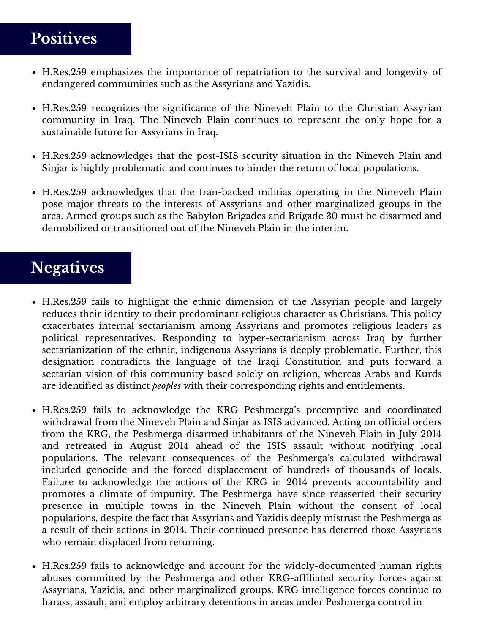### **Positives**

- H.Res.259 emphasizes the importance of repatriation to the survival and longevity of endangered communities such as the Assyrians and Yazidis.
- H.Res.259 recognizes the significance of the Nineveh Plain to the Christian Assyrian community in Iraq. The Nineveh Plain continues to represent the only hope for a sustainable future for Assyrians in Iraq.
- H.Res.259 acknowledges that the post-ISIS security situation in the Nineveh Plain and Sinjar is highly problematic and continues to hinder the return of local populations.
- H.Res.259 acknowledges that the Iran-backed militias operating in the Nineveh Plain pose major threats to the interests of Assyrians and other marginalized groups in the area. Armed groups such as the Babylon Brigades and Brigade 30 must be disarmed and demobilized or transitioned out of the Nineveh Plain in the interim.

## **Negatives**

- H.Res.259 fails to highlight the ethnic dimension of the Assyrian people and largely reduces their identity to their predominant religious character as Christians. This policy exacerbates internal sectarianism among Assyrians and promotes religious leaders as political representatives. Responding to hyper-sectarianism across Iraq by further sectarianization of the ethnic, indigenous Assyrians is deeply problematic. Further, this designation contradicts the language of the Iraqi Constitution and puts forward a sectarian vision of this community based solely on religion, whereas Arabs and Kurds are identified as distinct *peoples* with their corresponding rights and entitlements.
- H.Res.259 fails to acknowledge the KRG Peshmerga's preemptive and coordinated withdrawal from the Nineveh Plain and Sinjar as ISIS advanced. Acting on official orders from the KRG, the Peshmerga disarmed inhabitants of the Nineveh Plain in July 2014 and retreated in August 2014 ahead of the ISIS assault without notifying local populations. The relevant consequences of the Peshmerga's calculated withdrawal included genocide and the forced displacement of hundreds of thousands of locals. Failure to acknowledge the actions of the KRG in 2014 prevents accountability and promotes a climate of impunity. The Peshmerga have since reasserted their security presence in multiple towns in the Nineveh Plain without the consent of local populations, despite the fact that Assyrians and Yazidis deeply mistrust the Peshmerga as a result of their actions in 2014. Their continued presence has deterred those Assyrians who remain displaced from returning.
- H.Res.259 fails to acknowledge and account for the widely-documented human rights abuses committed by the Peshmerga and other KRG-affiliated security forces against Assyrians, Yazidis, and other marginalized groups. KRG intelligence forces continue to harass, assault, and employ arbitrary detentions in areas under Peshmerga control in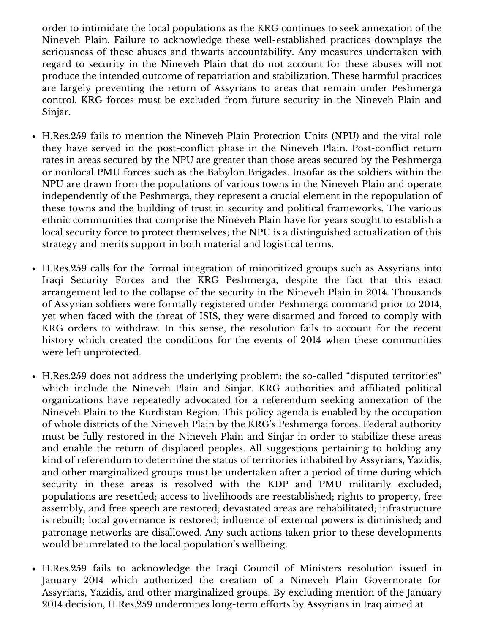Nineveh Plain. Failure to acknowledge these well-established practices downplays the order to intimidate the local populations as the KRG continues to seek annexation of the seriousness of these abuses and thwarts accountability. Any measures undertaken with regard to security in the Nineveh Plain that do not account for these abuses will not produce the intended outcome of repatriation and stabilization. These harmful practices are largely preventing the return of Assyrians to areas that remain under Peshmerga control. KRG forces must be excluded from future security in the Nineveh Plain and Sinjar.

- H.Res.259 fails to mention the Nineveh Plain Protection Units (NPU) and the vital role they have served in the post-conflict phase in the Nineveh Plain. Post-conflict return rates in areas secured by the NPU are greater than those areas secured by the Peshmerga or nonlocal PMU forces such as the Babylon Brigades. Insofar as the soldiers within the NPU are drawn from the populations of various towns in the Nineveh Plain and operate independently of the Peshmerga, they represent a crucial element in the repopulation of these towns and the building of trust in security and political frameworks. The various ethnic communities that comprise the Nineveh Plain have for years sought to establish a local security force to protect themselves; the NPU is a distinguished actualization of this strategy and merits support in both material and logistical terms.
- H.Res.259 calls for the formal integration of minoritized groups such as Assyrians into Iraqi Security Forces and the KRG Peshmerga, despite the fact that this exact arrangement led to the collapse of the security in the Nineveh Plain in 2014. Thousands of Assyrian soldiers were formally registered under Peshmerga command prior to 2014, yet when faced with the threat of ISIS, they were disarmed and forced to comply with KRG orders to withdraw. In this sense, the resolution fails to account for the recent history which created the conditions for the events of 2014 when these communities were left unprotected.
- H.Res.259 does not address the underlying problem: the so-called "disputed territories" which include the Nineveh Plain and Sinjar. KRG authorities and affiliated political organizations have repeatedly advocated for a referendum seeking annexation of the Nineveh Plain to the Kurdistan Region. This policy agenda is enabled by the occupation of whole districts of the Nineveh Plain by the KRG's Peshmerga forces. Federal authority must be fully restored in the Nineveh Plain and Sinjar in order to stabilize these areas and enable the return of displaced peoples. All suggestions pertaining to holding any kind of referendum to determine the status of territories inhabited by Assyrians, Yazidis, and other marginalized groups must be undertaken after a period of time during which security in these areas is resolved with the KDP and PMU militarily excluded; populations are resettled; access to livelihoods are reestablished; rights to property, free assembly, and free speech are restored; devastated areas are rehabilitated; infrastructure is rebuilt; local governance is restored; influence of external powers is diminished; and patronage networks are disallowed. Any such actions taken prior to these developments would be unrelated to the local population's wellbeing.
- H.Res.259 fails to acknowledge the Iraqi Council of Ministers resolution issued in January 2014 which authorized the creation of a Nineveh Plain Governorate for Assyrians, Yazidis, and other marginalized groups. By excluding mention of the January 2014 decision, H.Res.259 undermines long-term efforts by Assyrians in Iraq aimed at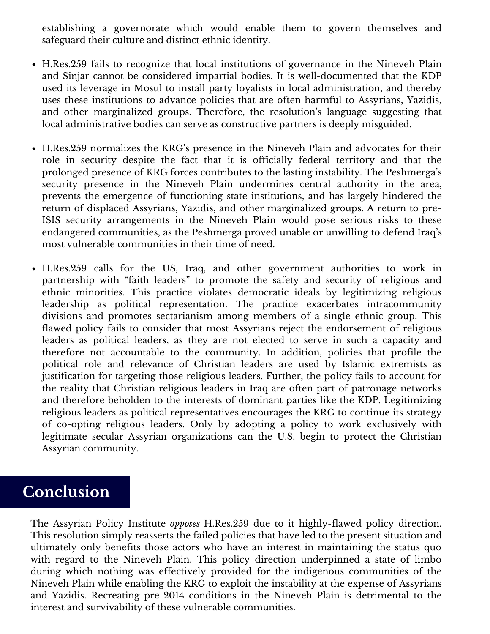safeguard their culture and distinct ethnic identity. establishing a governorate which would enable them to govern themselves and

- H.Res.259 fails to recognize that local institutions of governance in the Nineveh Plain and Sinjar cannot be considered impartial bodies. It is well-documented that the KDP used its leverage in Mosul to install party loyalists in local administration, and thereby uses these institutions to advance policies that are often harmful to Assyrians, Yazidis, and other marginalized groups. Therefore, the resolution's language suggesting that local administrative bodies can serve as constructive partners is deeply misguided.
- H.Res.259 normalizes the KRG's presence in the Nineveh Plain and advocates for their role in security despite the fact that it is officially federal territory and that the prolonged presence of KRG forces contributes to the lasting instability. The Peshmerga's security presence in the Nineveh Plain undermines central authority in the area, prevents the emergence of functioning state institutions, and has largely hindered the return of displaced Assyrians, Yazidis, and other marginalized groups. A return to pre-ISIS security arrangements in the Nineveh Plain would pose serious risks to these endangered communities, as the Peshmerga proved unable or unwilling to defend Iraq's most vulnerable communities in their time of need.
- H.Res.259 calls for the US, Iraq, and other government authorities to work in partnership with "faith leaders" to promote the safety and security of religious and ethnic minorities. This practice violates democratic ideals by legitimizing religious leadership as political representation. The practice exacerbates intracommunity divisions and promotes sectarianism among members of a single ethnic group. This flawed policy fails to consider that most Assyrians reject the endorsement of religious leaders as political leaders, as they are not elected to serve in such a capacity and therefore not accountable to the community. In addition, policies that profile the political role and relevance of Christian leaders are used by Islamic extremists as justification for targeting those religious leaders. Further, the policy fails to account for the reality that Christian religious leaders in Iraq are often part of patronage networks and therefore beholden to the interests of dominant parties like the KDP. Legitimizing religious leaders as political representatives encourages the KRG to continue its strategy of co-opting religious leaders. Only by adopting a policy to work exclusively with legitimate secular Assyrian organizations can the U.S. begin to protect the Christian Assyrian community.

#### **Conclusion**

The Assyrian Policy Institute *opposes* H.Res.259 due to it highly-flawed policy direction. This resolution simply reasserts the failed policies that have led to the present situation and ultimately only benefits those actors who have an interest in maintaining the status quo with regard to the Nineveh Plain. This policy direction underpinned a state of limbo during which nothing was effectively provided for the indigenous communities of the Nineveh Plain while enabling the KRG to exploit the instability at the expense of Assyrians and Yazidis. Recreating pre-2014 conditions in the Nineveh Plain is detrimental to the interest and survivability of these vulnerable communities.